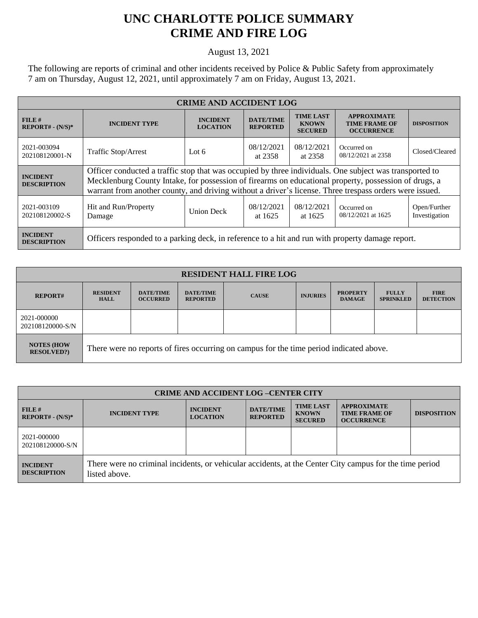## **UNC CHARLOTTE POLICE SUMMARY CRIME AND FIRE LOG**

August 13, 2021

The following are reports of criminal and other incidents received by Police & Public Safety from approximately 7 am on Thursday, August 12, 2021, until approximately 7 am on Friday, August 13, 2021.

| <b>CRIME AND ACCIDENT LOG</b>         |                                                                                                                                                                                                                                                                                                                             |                                    |                                     |                                                    |                                                                 |                               |  |
|---------------------------------------|-----------------------------------------------------------------------------------------------------------------------------------------------------------------------------------------------------------------------------------------------------------------------------------------------------------------------------|------------------------------------|-------------------------------------|----------------------------------------------------|-----------------------------------------------------------------|-------------------------------|--|
| FILE#<br>$REPORT# - (N/S)*$           | <b>INCIDENT TYPE</b>                                                                                                                                                                                                                                                                                                        | <b>INCIDENT</b><br><b>LOCATION</b> | <b>DATE/TIME</b><br><b>REPORTED</b> | <b>TIME LAST</b><br><b>KNOWN</b><br><b>SECURED</b> | <b>APPROXIMATE</b><br><b>TIME FRAME OF</b><br><b>OCCURRENCE</b> | <b>DISPOSITION</b>            |  |
| 2021-003094<br>202108120001-N         | <b>Traffic Stop/Arrest</b>                                                                                                                                                                                                                                                                                                  | Lot $6$                            | 08/12/2021<br>at 2358               | 08/12/2021<br>at 2358                              | Occurred on<br>08/12/2021 at 2358                               | Closed/Cleared                |  |
| <b>INCIDENT</b><br><b>DESCRIPTION</b> | Officer conducted a traffic stop that was occupied by three individuals. One subject was transported to<br>Mecklenburg County Intake, for possession of firearms on educational property, possession of drugs, a<br>warrant from another county, and driving without a driver's license. Three trespass orders were issued. |                                    |                                     |                                                    |                                                                 |                               |  |
| 2021-003109<br>202108120002-S         | Hit and Run/Property<br>Damage                                                                                                                                                                                                                                                                                              | <b>Union Deck</b>                  | 08/12/2021<br>at 1625               | 08/12/2021<br>at 1625                              | Occurred on<br>08/12/2021 at 1625                               | Open/Further<br>Investigation |  |
| <b>INCIDENT</b><br><b>DESCRIPTION</b> | Officers responded to a parking deck, in reference to a hit and run with property damage report.                                                                                                                                                                                                                            |                                    |                                     |                                                    |                                                                 |                               |  |

| <b>RESIDENT HALL FIRE LOG</b>          |                                                                                         |                                     |                                     |              |                 |                                  |                                  |                                 |
|----------------------------------------|-----------------------------------------------------------------------------------------|-------------------------------------|-------------------------------------|--------------|-----------------|----------------------------------|----------------------------------|---------------------------------|
| <b>REPORT#</b>                         | <b>RESIDENT</b><br><b>HALL</b>                                                          | <b>DATE/TIME</b><br><b>OCCURRED</b> | <b>DATE/TIME</b><br><b>REPORTED</b> | <b>CAUSE</b> | <b>INJURIES</b> | <b>PROPERTY</b><br><b>DAMAGE</b> | <b>FULLY</b><br><b>SPRINKLED</b> | <b>FIRE</b><br><b>DETECTION</b> |
| 2021-000000<br>202108120000-S/N        |                                                                                         |                                     |                                     |              |                 |                                  |                                  |                                 |
| <b>NOTES (HOW</b><br><b>RESOLVED?)</b> | There were no reports of fires occurring on campus for the time period indicated above. |                                     |                                     |              |                 |                                  |                                  |                                 |

| <b>CRIME AND ACCIDENT LOG-CENTER CITY</b> |                                                                                                                          |                                    |                                     |                                                    |                                                                 |                    |
|-------------------------------------------|--------------------------------------------------------------------------------------------------------------------------|------------------------------------|-------------------------------------|----------------------------------------------------|-----------------------------------------------------------------|--------------------|
| FILE#<br>$REPORT# - (N/S)*$               | <b>INCIDENT TYPE</b>                                                                                                     | <b>INCIDENT</b><br><b>LOCATION</b> | <b>DATE/TIME</b><br><b>REPORTED</b> | <b>TIME LAST</b><br><b>KNOWN</b><br><b>SECURED</b> | <b>APPROXIMATE</b><br><b>TIME FRAME OF</b><br><b>OCCURRENCE</b> | <b>DISPOSITION</b> |
| 2021-000000<br>202108120000-S/N           |                                                                                                                          |                                    |                                     |                                                    |                                                                 |                    |
| <b>INCIDENT</b><br><b>DESCRIPTION</b>     | There were no criminal incidents, or vehicular accidents, at the Center City campus for the time period<br>listed above. |                                    |                                     |                                                    |                                                                 |                    |